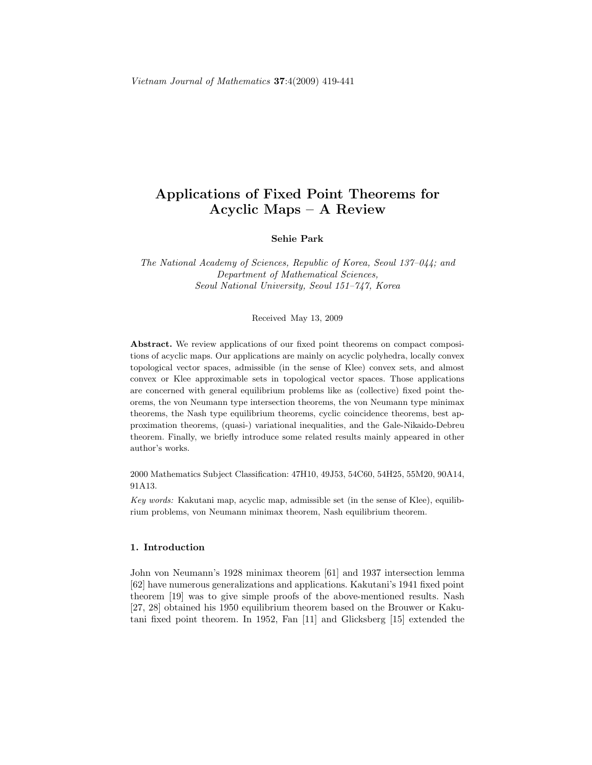# Applications of Fixed Point Theorems for Acyclic Maps – A Review

#### Sehie Park

The National Academy of Sciences, Republic of Korea, Seoul 137–044; and Department of Mathematical Sciences, Seoul National University, Seoul 151–747, Korea

Received May 13, 2009

Abstract. We review applications of our fixed point theorems on compact compositions of acyclic maps. Our applications are mainly on acyclic polyhedra, locally convex topological vector spaces, admissible (in the sense of Klee) convex sets, and almost convex or Klee approximable sets in topological vector spaces. Those applications are concerned with general equilibrium problems like as (collective) fixed point theorems, the von Neumann type intersection theorems, the von Neumann type minimax theorems, the Nash type equilibrium theorems, cyclic coincidence theorems, best approximation theorems, (quasi-) variational inequalities, and the Gale-Nikaido-Debreu theorem. Finally, we briefly introduce some related results mainly appeared in other author's works.

2000 Mathematics Subject Classification: 47H10, 49J53, 54C60, 54H25, 55M20, 90A14, 91A13.

Key words: Kakutani map, acyclic map, admissible set (in the sense of Klee), equilibrium problems, von Neumann minimax theorem, Nash equilibrium theorem.

## 1. Introduction

John von Neumann's 1928 minimax theorem [61] and 1937 intersection lemma [62] have numerous generalizations and applications. Kakutani's 1941 fixed point theorem [19] was to give simple proofs of the above-mentioned results. Nash [27, 28] obtained his 1950 equilibrium theorem based on the Brouwer or Kakutani fixed point theorem. In 1952, Fan [11] and Glicksberg [15] extended the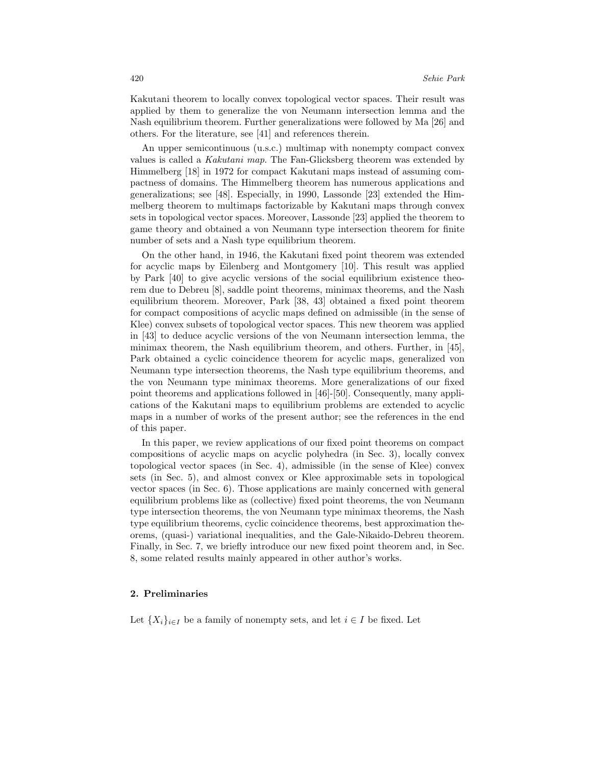Kakutani theorem to locally convex topological vector spaces. Their result was applied by them to generalize the von Neumann intersection lemma and the Nash equilibrium theorem. Further generalizations were followed by Ma [26] and others. For the literature, see [41] and references therein.

An upper semicontinuous (u.s.c.) multimap with nonempty compact convex values is called a Kakutani map. The Fan-Glicksberg theorem was extended by Himmelberg [18] in 1972 for compact Kakutani maps instead of assuming compactness of domains. The Himmelberg theorem has numerous applications and generalizations; see [48]. Especially, in 1990, Lassonde [23] extended the Himmelberg theorem to multimaps factorizable by Kakutani maps through convex sets in topological vector spaces. Moreover, Lassonde [23] applied the theorem to game theory and obtained a von Neumann type intersection theorem for finite number of sets and a Nash type equilibrium theorem.

On the other hand, in 1946, the Kakutani fixed point theorem was extended for acyclic maps by Eilenberg and Montgomery [10]. This result was applied by Park [40] to give acyclic versions of the social equilibrium existence theorem due to Debreu [8], saddle point theorems, minimax theorems, and the Nash equilibrium theorem. Moreover, Park [38, 43] obtained a fixed point theorem for compact compositions of acyclic maps defined on admissible (in the sense of Klee) convex subsets of topological vector spaces. This new theorem was applied in [43] to deduce acyclic versions of the von Neumann intersection lemma, the minimax theorem, the Nash equilibrium theorem, and others. Further, in [45], Park obtained a cyclic coincidence theorem for acyclic maps, generalized von Neumann type intersection theorems, the Nash type equilibrium theorems, and the von Neumann type minimax theorems. More generalizations of our fixed point theorems and applications followed in [46]-[50]. Consequently, many applications of the Kakutani maps to equilibrium problems are extended to acyclic maps in a number of works of the present author; see the references in the end of this paper.

In this paper, we review applications of our fixed point theorems on compact compositions of acyclic maps on acyclic polyhedra (in Sec. 3), locally convex topological vector spaces (in Sec. 4), admissible (in the sense of Klee) convex sets (in Sec. 5), and almost convex or Klee approximable sets in topological vector spaces (in Sec. 6). Those applications are mainly concerned with general equilibrium problems like as (collective) fixed point theorems, the von Neumann type intersection theorems, the von Neumann type minimax theorems, the Nash type equilibrium theorems, cyclic coincidence theorems, best approximation theorems, (quasi-) variational inequalities, and the Gale-Nikaido-Debreu theorem. Finally, in Sec. 7, we briefly introduce our new fixed point theorem and, in Sec. 8, some related results mainly appeared in other author's works.

#### 2. Preliminaries

Let  $\{X_i\}_{i\in I}$  be a family of nonempty sets, and let  $i \in I$  be fixed. Let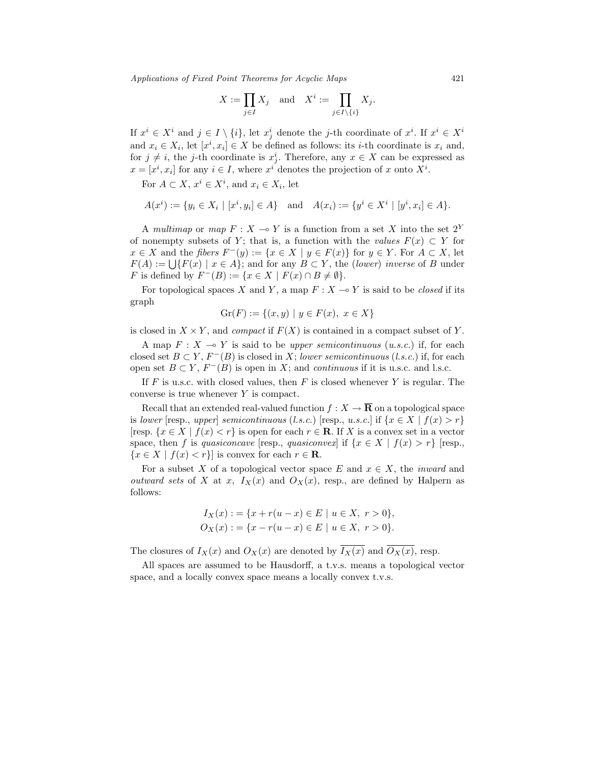Applications of Fixed Point Theorems for Acyclic Maps 421

$$
X := \prod_{j \in I} X_j \quad \text{and} \quad X^i := \prod_{j \in I \setminus \{i\}} X_j.
$$

If  $x^i \in X^i$  and  $j \in I \setminus \{i\}$ , let  $x_j^i$  denote the j-th coordinate of  $x^i$ . If  $x^i \in X^i$ and  $x_i \in X_i$ , let  $[x^i, x_i] \in X$  be defined as follows: its *i*-th coordinate is  $x_i$  and, for  $j \neq i$ , the j-th coordinate is  $x_j^i$ . Therefore, any  $x \in X$  can be expressed as  $x = [x^i, x_i]$  for any  $i \in I$ , where  $x^i$  denotes the projection of x onto  $X^i$ .

For  $A \subset X$ ,  $x^i \in X^i$ , and  $x_i \in X_i$ , let

$$
A(x^i) := \{ y_i \in X_i \mid [x^i, y_i] \in A \} \text{ and } A(x_i) := \{ y^i \in X^i \mid [y^i, x_i] \in A \}.
$$

A multimap or map  $F: X \to Y$  is a function from a set X into the set  $2^Y$ of nonempty subsets of Y; that is, a function with the values  $F(x) \subset Y$  for  $x \in X$  and the *fibers*  $F^-(y) := \{x \in X \mid y \in F(x)\}\$ for  $y \in Y$ . For  $A \subset X$ , let  $x \in X$  and the *floers*  $F'(y) := \{x \in X \mid y \in F(x)\}$  for  $y \in Y$ , for  $A \subset X$ , let  $F(A) := \bigcup \{F(x) \mid x \in A\}$ ; and for any  $B \subset Y$ , the *(lower) inverse* of B under F is defined by  $F^{-}(B) := \{x \in X \mid F(x) \cap B \neq \emptyset\}.$ 

For topological spaces X and Y, a map  $F: X \rightarrow Y$  is said to be *closed* if its graph

$$
Gr(F) := \{(x, y) \mid y \in F(x), \ x \in X\}
$$

is closed in  $X \times Y$ , and *compact* if  $F(X)$  is contained in a compact subset of Y.

A map  $F: X \to Y$  is said to be upper semicontinuous (u.s.c.) if, for each closed set  $B \subset Y$ ,  $F^{-}(B)$  is closed in X; lower semicontinuous (l.s.c.) if, for each open set  $B \subset Y$ ,  $F^{-}(B)$  is open in X; and *continuous* if it is u.s.c. and l.s.c.

If  $F$  is u.s.c. with closed values, then  $F$  is closed whenever  $Y$  is regular. The converse is true whenever Y is compact.

Recall that an extended real-valued function  $f : X \to \overline{\mathbf{R}}$  on a topological space is lower [resp., upper] semicontinuous (l.s.c.) [resp., u.s.c.] if  $\{x \in X \mid f(x) > r\}$ [resp.  $\{x \in X \mid f(x) < r\}$  is open for each  $r \in \mathbb{R}$ . If X is a convex set in a vector space, then f is quasiconcave [resp., quasiconvex] if  $\{x \in X \mid f(x) > r\}$  [resp.,  ${x \in X \mid f(x) < r}$  is convex for each  $r \in \mathbb{R}$ .

For a subset X of a topological vector space E and  $x \in X$ , the *inward* and *outward sets* of X at x,  $I_X(x)$  and  $O_X(x)$ , resp., are defined by Halpern as follows:

$$
I_X(x) := \{x + r(u - x) \in E \mid u \in X, r > 0\},\,
$$
  

$$
O_X(x) := \{x - r(u - x) \in E \mid u \in X, r > 0\}.
$$

The closures of  $I_X(x)$  and  $O_X(x)$  are denoted by  $\overline{I_X(x)}$  and  $\overline{O_X(x)}$ , resp.

All spaces are assumed to be Hausdorff, a t.v.s. means a topological vector space, and a locally convex space means a locally convex t.v.s.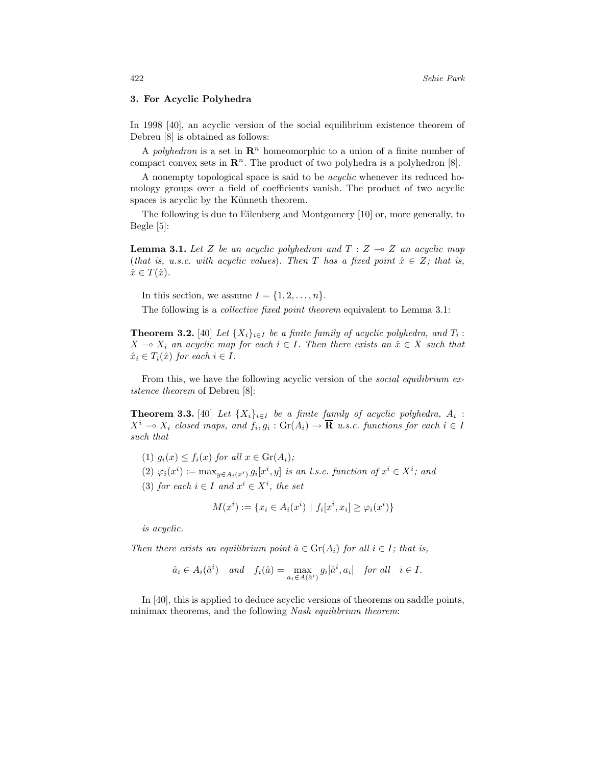## 3. For Acyclic Polyhedra

In 1998 [40], an acyclic version of the social equilibrium existence theorem of Debreu [8] is obtained as follows:

A polyhedron is a set in  $\mathbb{R}^n$  homeomorphic to a union of a finite number of compact convex sets in  $\mathbb{R}^n$ . The product of two polyhedra is a polyhedron [8].

A nonempty topological space is said to be acyclic whenever its reduced homology groups over a field of coefficients vanish. The product of two acyclic spaces is acyclic by the Künneth theorem.

The following is due to Eilenberg and Montgomery [10] or, more generally, to Begle [5]:

**Lemma 3.1.** Let Z be an acyclic polyhedron and  $T : Z \rightarrow Z$  an acyclic map (that is, u.s.c. with acyclic values). Then T has a fixed point  $\hat{x} \in Z$ ; that is,  $\hat{x} \in T(\hat{x})$ .

In this section, we assume  $I = \{1, 2, \ldots, n\}.$ 

The following is a collective fixed point theorem equivalent to Lemma 3.1:

**Theorem 3.2.** [40] Let  $\{X_i\}_{i\in I}$  be a finite family of acyclic polyhedra, and  $T_i$ :  $X \multimap X_i$  an acyclic map for each  $i \in I$ . Then there exists an  $\hat{x} \in X$  such that  $\hat{x}_i \in T_i(\hat{x})$  for each  $i \in I$ .

From this, we have the following acyclic version of the *social equilibrium ex*istence theorem of Debreu [8]:

**Theorem 3.3.** [40] Let  $\{X_i\}_{i\in I}$  be a finite family of acyclic polyhedra,  $A_i$ :  $X^i \rightharpoonup X_i$  closed maps, and  $f_i, g_i : \text{Gr}(A_i) \rightharpoonup \overline{\mathbf{R}}$  u.s.c. functions for each  $i \in I$ such that

- (1)  $g_i(x) \leq f_i(x)$  for all  $x \in \text{Gr}(A_i)$ ;
- (2)  $\varphi_i(x^i) := \max_{y \in A_i(x^i)} g_i[x^i, y]$  is an l.s.c. function of  $x^i \in X^i$ ; and
- (3) for each  $i \in I$  and  $x^i \in X^i$ , the set

$$
M(x^{i}) := \{ x_{i} \in A_{i}(x^{i}) \mid f_{i}[x^{i}, x_{i}] \ge \varphi_{i}(x^{i}) \}
$$

is acyclic.

Then there exists an equilibrium point  $\hat{a} \in \text{Gr}(A_i)$  for all  $i \in I$ ; that is,

$$
\hat{a}_i \in A_i(\hat{a}^i) \quad \text{and} \quad f_i(\hat{a}) = \max_{a_i \in A(\hat{a}^i)} g_i[\hat{a}^i, a_i] \quad \text{for all} \quad i \in I.
$$

In [40], this is applied to deduce acyclic versions of theorems on saddle points, minimax theorems, and the following Nash equilibrium theorem: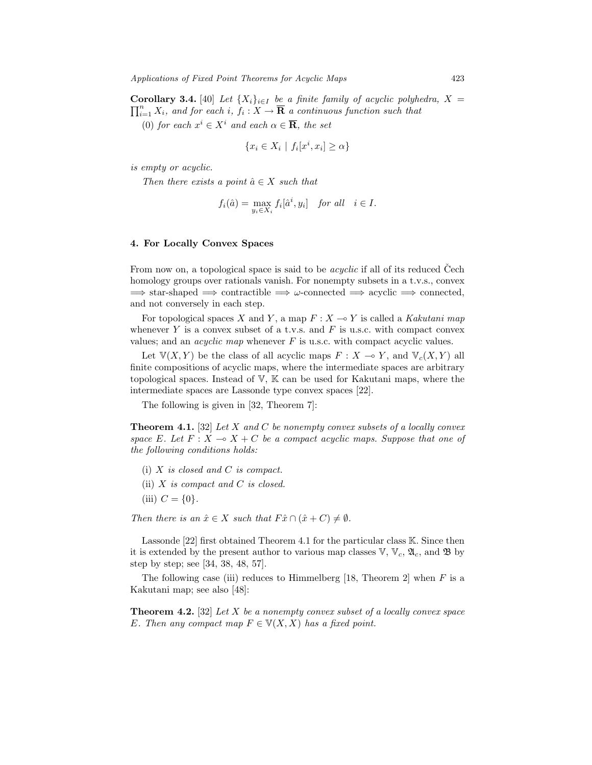**Corollary 3.4.** [40] Let  $\{X_i\}_{i\in I}$  be a finite family of acyclic polyhedra,  $X = \prod_{i=1}^{n} X_i$  $\sum_{i=1}^n X_i$ , and for each i,  $f_i: X \to \overline{\mathbf{R}}$  a continuous function such that

(0) for each  $x^i \in X^i$  and each  $\alpha \in \overline{\mathbf{R}}$ , the set

$$
\{x_i \in X_i \mid f_i[x^i, x_i] \ge \alpha\}
$$

is empty or acyclic.

Then there exists a point  $\hat{a} \in X$  such that

$$
f_i(\hat{a}) = \max_{y_i \in X_i} f_i[\hat{a}^i, y_i] \quad \text{for all} \quad i \in I.
$$

## 4. For Locally Convex Spaces

From now on, a topological space is said to be *acyclic* if all of its reduced Cech homology groups over rationals vanish. For nonempty subsets in a t.v.s., convex  $\Rightarrow$  star-shaped  $\Rightarrow$  contractible  $\Rightarrow$   $\omega$ -connected  $\Rightarrow$  acyclic  $\Rightarrow$  connected, and not conversely in each step.

For topological spaces X and Y, a map  $F : X \longrightarrow Y$  is called a Kakutani map whenever  $Y$  is a convex subset of a t.v.s. and  $F$  is u.s.c. with compact convex values; and an *acyclic map* whenever  $F$  is u.s.c. with compact acyclic values.

Let  $\mathbb{V}(X, Y)$  be the class of all acyclic maps  $F : X \to Y$ , and  $\mathbb{V}_c(X, Y)$  all finite compositions of acyclic maps, where the intermediate spaces are arbitrary topological spaces. Instead of  $V$ ,  $K$  can be used for Kakutani maps, where the intermediate spaces are Lassonde type convex spaces [22].

The following is given in [32, Theorem 7]:

**Theorem 4.1.** [32] Let X and C be nonempty convex subsets of a locally convex space E. Let  $F: X \to X + C$  be a compact acyclic maps. Suppose that one of the following conditions holds:

- (i)  $X$  is closed and  $C$  is compact.
- (ii)  $X$  is compact and  $C$  is closed.
- (iii)  $C = \{0\}.$

Then there is an  $\hat{x} \in X$  such that  $F\hat{x} \cap (\hat{x} + C) \neq \emptyset$ .

Lassonde [22] first obtained Theorem 4.1 for the particular class K. Since then it is extended by the present author to various map classes  $V, V_c, \mathfrak{A}_c$ , and  $\mathfrak{B}$  by step by step; see [34, 38, 48, 57].

The following case (iii) reduces to Himmelberg [18, Theorem 2] when  $F$  is a Kakutani map; see also [48]:

**Theorem 4.2.** [32] Let X be a nonempty convex subset of a locally convex space E. Then any compact map  $F \in V(X, X)$  has a fixed point.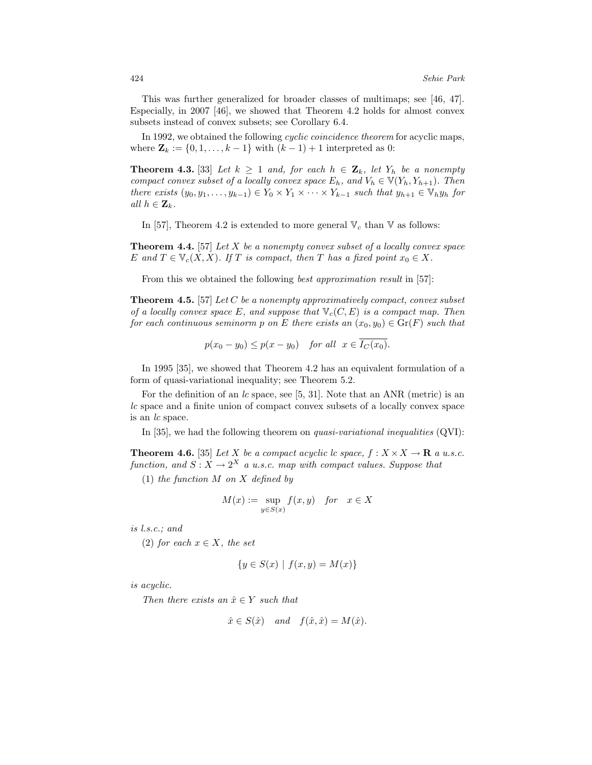This was further generalized for broader classes of multimaps; see [46, 47]. Especially, in 2007 [46], we showed that Theorem 4.2 holds for almost convex subsets instead of convex subsets; see Corollary 6.4.

In 1992, we obtained the following cyclic coincidence theorem for acyclic maps, where  $\mathbf{Z}_k := \{0, 1, \ldots, k-1\}$  with  $(k-1)+1$  interpreted as 0:

**Theorem 4.3.** [33] Let  $k \ge 1$  and, for each  $h \in \mathbf{Z}_k$ , let  $Y_h$  be a nonempty compact convex subset of a locally convex space  $E_h$ , and  $V_h \in V(Y_h, Y_{h+1})$ . Then there exists  $(y_0, y_1, \ldots, y_{k-1}) \in Y_0 \times Y_1 \times \cdots \times Y_{k-1}$  such that  $y_{h+1} \in V_h y_h$  for all  $h \in \mathbf{Z}_k$ .

In [57], Theorem 4.2 is extended to more general  $V_c$  than V as follows:

**Theorem 4.4.** [57] Let X be a nonempty convex subset of a locally convex space E and  $T \in \mathbb{V}_c(X,X)$ . If T is compact, then T has a fixed point  $x_0 \in X$ .

From this we obtained the following *best approximation result* in [57]:

**Theorem 4.5.** [57] Let C be a nonempty approximatively compact, convex subset of a locally convex space E, and suppose that  $\mathbb{V}_c(C, E)$  is a compact map. Then for each continuous seminorm p on E there exists an  $(x_0, y_0) \in \text{Gr}(F)$  such that

$$
p(x_0 - y_0) \le p(x - y_0) \quad \text{for all} \quad x \in I_C(x_0).
$$

In 1995 [35], we showed that Theorem 4.2 has an equivalent formulation of a form of quasi-variational inequality; see Theorem 5.2.

For the definition of an  $lc$  space, see [5, 31]. Note that an ANR (metric) is an lc space and a finite union of compact convex subsets of a locally convex space is an lc space.

In [35], we had the following theorem on *quasi-variational inequalities* (QVI):

**Theorem 4.6.** [35] Let X be a compact acyclic lc space,  $f : X \times X \to \mathbf{R}$  a u.s.c. function, and  $S: X \to 2^X$  a u.s.c. map with compact values. Suppose that

(1) the function  $M$  on  $X$  defined by

$$
M(x) := \sup_{y \in S(x)} f(x, y) \quad \text{for} \quad x \in X
$$

is l.s.c.; and

(2) for each  $x \in X$ , the set

$$
\{y \in S(x) \mid f(x, y) = M(x)\}\
$$

is acyclic.

Then there exists an  $\hat{x} \in Y$  such that

$$
\hat{x} \in S(\hat{x})
$$
 and  $f(\hat{x}, \hat{x}) = M(\hat{x}).$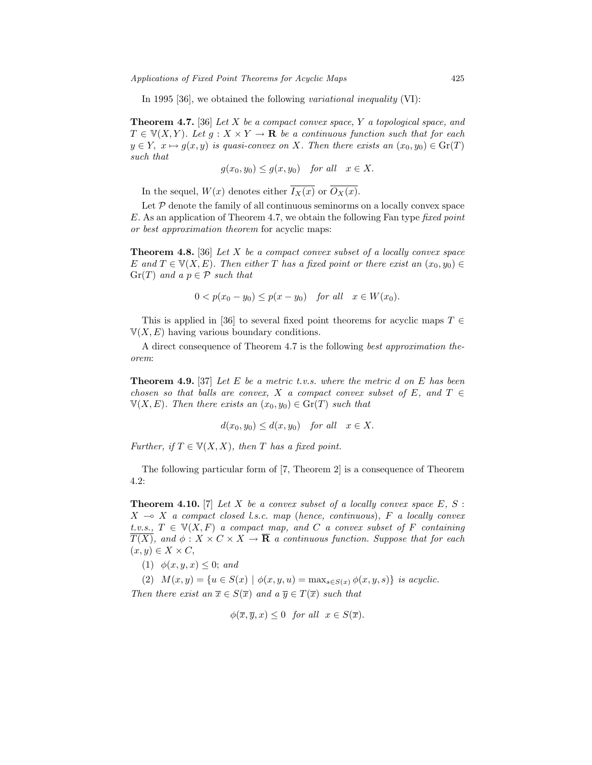In 1995 [36], we obtained the following variational inequality (VI):

**Theorem 4.7.** [36] Let X be a compact convex space, Y a topological space, and  $T \in \mathbb{V}(X, Y)$ . Let  $q : X \times Y \to \mathbf{R}$  be a continuous function such that for each  $y \in Y$ ,  $x \mapsto q(x, y)$  is quasi-convex on X. Then there exists an  $(x_0, y_0) \in \text{Gr}(T)$ such that

$$
g(x_0, y_0) \le g(x, y_0) \quad \text{for all} \quad x \in X.
$$

In the sequel,  $W(x)$  denotes either  $\overline{I_X(x)}$  or  $\overline{O_X(x)}$ .

Let  $P$  denote the family of all continuous seminorms on a locally convex space E. As an application of Theorem 4.7, we obtain the following Fan type fixed point or best approximation theorem for acyclic maps:

**Theorem 4.8.** [36] Let X be a compact convex subset of a locally convex space E and  $T \in \mathbb{V}(X, E)$ . Then either T has a fixed point or there exist an  $(x_0, y_0) \in$  $Gr(T)$  and a  $p \in \mathcal{P}$  such that

$$
0 < p(x_0 - y_0) \le p(x - y_0) \quad \text{for all} \quad x \in W(x_0).
$$

This is applied in [36] to several fixed point theorems for acyclic maps  $T \in$  $V(X, E)$  having various boundary conditions.

A direct consequence of Theorem 4.7 is the following best approximation theorem:

**Theorem 4.9.** [37] Let  $E$  be a metric t.v.s. where the metric d on  $E$  has been chosen so that balls are convex, X a compact convex subset of E, and  $T \in$  $\mathbb{V}(X, E)$ . Then there exists an  $(x_0, y_0) \in \mathrm{Gr}(T)$  such that

$$
d(x_0, y_0) \le d(x, y_0) \quad for all \quad x \in X.
$$

Further, if  $T \in V(X, X)$ , then T has a fixed point.

The following particular form of [7, Theorem 2] is a consequence of Theorem 4.2:

**Theorem 4.10.** [7] Let X be a convex subset of a locally convex space  $E, S$ :  $X \multimap X$  a compact closed l.s.c. map (hence, continuous), F a locally convex t.v.s.,  $T \in V(X, F)$  a compact map, and C a convex subset of F containing  $\overline{T(X)}$ , and  $\phi: X \times C \times X \to \overline{\mathbf{R}}$  a continuous function. Suppose that for each  $(x, y) \in X \times C$ 

(1)  $\phi(x, y, x) \leq 0$ ; and

(2)  $M(x, y) = \{u \in S(x) \mid \phi(x, y, u) = \max_{s \in S(x)} \phi(x, y, s)\}\$ is acyclic. Then there exist an  $\overline{x} \in S(\overline{x})$  and  $a \overline{y} \in T(\overline{x})$  such that

$$
\phi(\overline{x}, \overline{y}, x) \le 0 \quad \text{for all} \quad x \in S(\overline{x}).
$$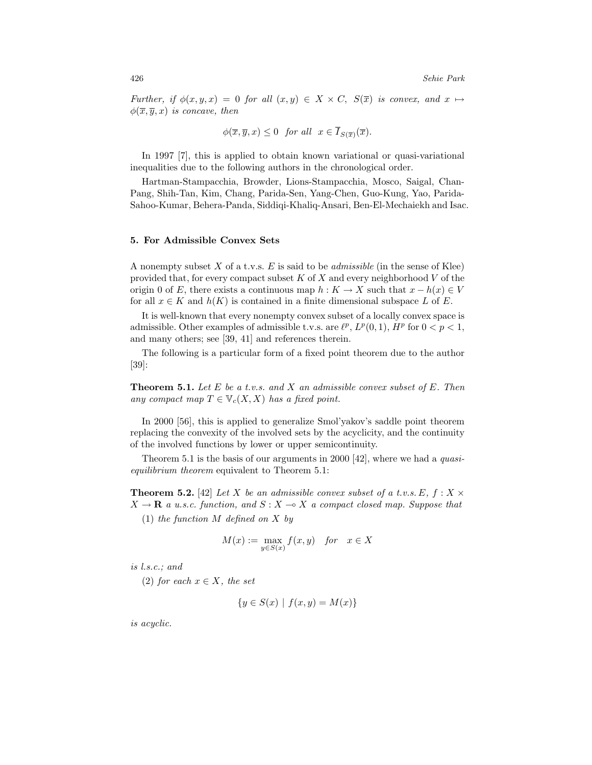Further, if  $\phi(x, y, x) = 0$  for all  $(x, y) \in X \times C$ ,  $S(\overline{x})$  is convex, and  $x \mapsto$  $\phi(\overline{x}, \overline{y}, x)$  is concave, then

$$
\phi(\overline{x}, \overline{y}, x) \le 0 \quad \text{for all} \quad x \in \overline{I}_{S(\overline{x})}(\overline{x}).
$$

In 1997 [7], this is applied to obtain known variational or quasi-variational inequalities due to the following authors in the chronological order.

Hartman-Stampacchia, Browder, Lions-Stampacchia, Mosco, Saigal, Chan-Pang, Shih-Tan, Kim, Chang, Parida-Sen, Yang-Chen, Guo-Kung, Yao, Parida-Sahoo-Kumar, Behera-Panda, Siddiqi-Khaliq-Ansari, Ben-El-Mechaiekh and Isac.

## 5. For Admissible Convex Sets

A nonempty subset  $X$  of a t.v.s.  $E$  is said to be *admissible* (in the sense of Klee) provided that, for every compact subset K of X and every neighborhood V of the origin 0 of E, there exists a continuous map  $h: K \to X$  such that  $x - h(x) \in V$ for all  $x \in K$  and  $h(K)$  is contained in a finite dimensional subspace L of E.

It is well-known that every nonempty convex subset of a locally convex space is admissible. Other examples of admissible t.v.s. are  $\ell^p$ ,  $L^p(0,1)$ ,  $H^p$  for  $0 < p < 1$ , and many others; see [39, 41] and references therein.

The following is a particular form of a fixed point theorem due to the author [39]:

**Theorem 5.1.** Let E be a t.v.s. and X an admissible convex subset of E. Then any compact map  $T \in \mathbb{V}_c(X,X)$  has a fixed point.

In 2000 [56], this is applied to generalize Smol'yakov's saddle point theorem replacing the convexity of the involved sets by the acyclicity, and the continuity of the involved functions by lower or upper semicontinuity.

Theorem 5.1 is the basis of our arguments in 2000 [42], where we had a *quasi*equilibrium theorem equivalent to Theorem 5.1:

**Theorem 5.2.** [42] Let X be an admissible convex subset of a t.v.s. E,  $f: X \times Y$  $X \to \mathbf{R}$  a u.s.c. function, and  $S : X \to X$  a compact closed map. Suppose that (1) the function  $M$  defined on  $X$  by

$$
M(x) := \max_{y \in S(x)} f(x, y) \quad \text{for} \quad x \in X
$$

is l.s.c.; and

(2) for each  $x \in X$ , the set

$$
\{y \in S(x) \mid f(x, y) = M(x)\}\
$$

is acyclic.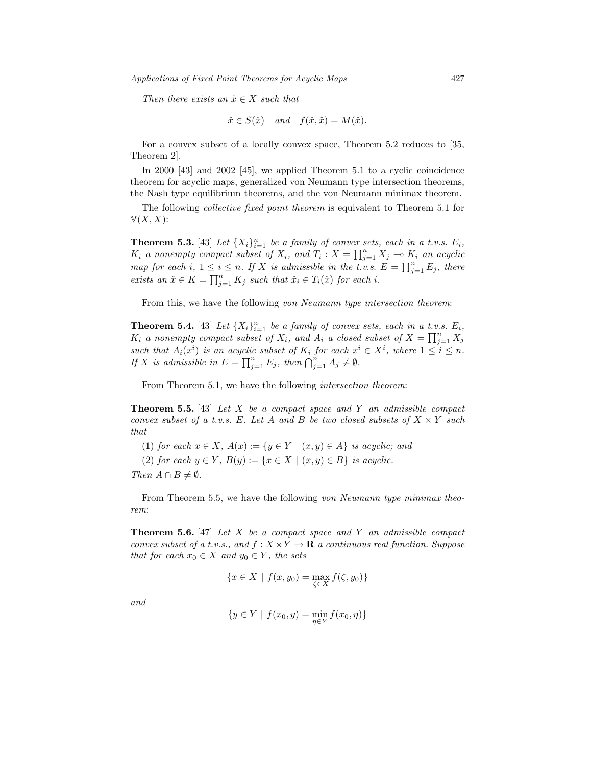Then there exists an  $\hat{x} \in X$  such that

$$
\hat{x} \in S(\hat{x})
$$
 and  $f(\hat{x}, \hat{x}) = M(\hat{x}).$ 

For a convex subset of a locally convex space, Theorem 5.2 reduces to [35, Theorem 2].

In 2000 [43] and 2002 [45], we applied Theorem 5.1 to a cyclic coincidence theorem for acyclic maps, generalized von Neumann type intersection theorems, the Nash type equilibrium theorems, and the von Neumann minimax theorem.

The following collective fixed point theorem is equivalent to Theorem 5.1 for  $\mathbb{V}(X,X)$ :

**Theorem 5.3.** [43] Let  $\{X_i\}_{i=1}^n$  be a family of convex sets, each in a t.v.s.  $E_i$ ,  $K$  a non-normal convex of  $X$  and  $T : X$   $\prod^n X$  is  $K$  and convexient  $K_i$  a nonempty compact subset of  $X_i$ , and  $T_i: X = \prod_{j=1}^n X_j \multimap K_i$  an acyclic  $m_i$  a nonempty compact sabset by  $X_i$ , and  $T_i : X = \prod_{j=1}^n X_j$   $\circ$   $K_i$  and acyclic  $m$  p for each  $i$ ,  $1 \le i \le n$ . If X is admissible in the t.v.s.  $E = \prod_{j=1}^n E_j$ , there exists an  $\hat{x} \in K = \prod_{j=1}^n K_j$  such that  $\hat{x}_i \in T_i(\hat{x})$  for each i.

From this, we have the following von Neumann type intersection theorem:

**Theorem 5.4.** [43] Let  $\{X_i\}_{i=1}^n$  be a family of convex sets, each in a t.v.s.  $E_i$ ,  $K_i$  is proposed to the set of  $X_i$  and the set of  $X_i$  and  $K_i$   $\overline{H}^n$  $K_i$  a nonempty compact subset of  $X_i$ , and  $A_i$  a closed subset of  $X = \prod_{j=1}^n X_j$ such that  $A_i(x^i)$  is an acyclic subset of  $K_i$  for each  $x^i \in X^i$ , where  $1 \leq i \leq n$ . such that  $A_i(x)$  is an acyclic subset of  $\mathbf{A}_i$  for each x <br>If X is admissible in  $E = \prod_{j=1}^n E_j$ , then  $\bigcap_{j=1}^n A_j \neq \emptyset$ .

From Theorem 5.1, we have the following intersection theorem:

**Theorem 5.5.** [43] Let X be a compact space and Y an admissible compact convex subset of a t.v.s. E. Let A and B be two closed subsets of  $X \times Y$  such that

(1) for each  $x \in X$ ,  $A(x) := \{y \in Y \mid (x, y) \in A\}$  is acyclic; and

(2) for each  $y \in Y$ ,  $B(y) := \{x \in X \mid (x, y) \in B\}$  is acyclic.

Then  $A \cap B \neq \emptyset$ .

From Theorem 5.5, we have the following von Neumann type minimax theorem:

**Theorem 5.6.** [47] Let X be a compact space and Y an admissible compact convex subset of a t.v.s., and  $f: X \times Y \to \mathbf{R}$  a continuous real function. Suppose that for each  $x_0 \in X$  and  $y_0 \in Y$ , the sets

$$
\{x \in X \mid f(x, y_0) = \max_{\zeta \in X} f(\zeta, y_0)\}
$$

and

$$
\{y \in Y \mid f(x_0, y) = \min_{\eta \in Y} f(x_0, \eta)\}
$$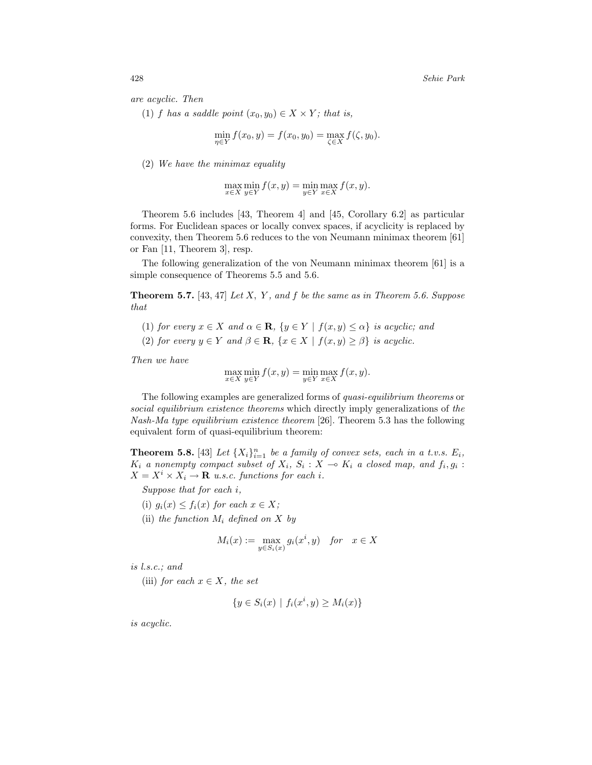428 Sehie Park

are acyclic. Then

(1) f has a saddle point  $(x_0, y_0) \in X \times Y$ ; that is,

$$
\min_{\eta \in Y} f(x_0, y) = f(x_0, y_0) = \max_{\zeta \in X} f(\zeta, y_0).
$$

(2) We have the minimax equality

$$
\max_{x \in X} \min_{y \in Y} f(x, y) = \min_{y \in Y} \max_{x \in X} f(x, y).
$$

Theorem 5.6 includes [43, Theorem 4] and [45, Corollary 6.2] as particular forms. For Euclidean spaces or locally convex spaces, if acyclicity is replaced by convexity, then Theorem 5.6 reduces to the von Neumann minimax theorem [61] or Fan [11, Theorem 3], resp.

The following generalization of the von Neumann minimax theorem [61] is a simple consequence of Theorems 5.5 and 5.6.

**Theorem 5.7.** [43, 47] Let  $X$ ,  $Y$ , and  $f$  be the same as in Theorem 5.6. Suppose that

- (1) for every  $x \in X$  and  $\alpha \in \mathbf{R}$ ,  $\{y \in Y \mid f(x, y) \leq \alpha\}$  is acyclic; and
- (2) for every  $y \in Y$  and  $\beta \in \mathbf{R}$ ,  $\{x \in X \mid f(x, y) \ge \beta\}$  is acyclic.

Then we have

$$
\max_{x \in X} \min_{y \in Y} f(x, y) = \min_{y \in Y} \max_{x \in X} f(x, y).
$$

The following examples are generalized forms of quasi-equilibrium theorems or social equilibrium existence theorems which directly imply generalizations of the Nash-Ma type equilibrium existence theorem [26]. Theorem 5.3 has the following equivalent form of quasi-equilibrium theorem:

**Theorem 5.8.** [43] Let  $\{X_i\}_{i=1}^n$  be a family of convex sets, each in a t.v.s.  $E_i$ ,  $K_i$  a nonempty compact subset of  $X_i$ ,  $S_i$ :  $X \multimap K_i$  a closed map, and  $f_i, g_i$ :  $X = X^i \times X_i \rightarrow \mathbf{R}$  u.s.c. functions for each i.

Suppose that for each i,

- (i)  $g_i(x) \leq f_i(x)$  for each  $x \in X$ ;
- (ii) the function  $M_i$  defined on X by

$$
M_i(x) := \max_{y \in S_i(x)} g_i(x^i, y) \quad \text{for} \quad x \in X
$$

is l.s.c.; and

(iii) for each  $x \in X$ , the set

$$
\{y \in S_i(x) \mid f_i(x^i, y) \ge M_i(x)\}
$$

is acyclic.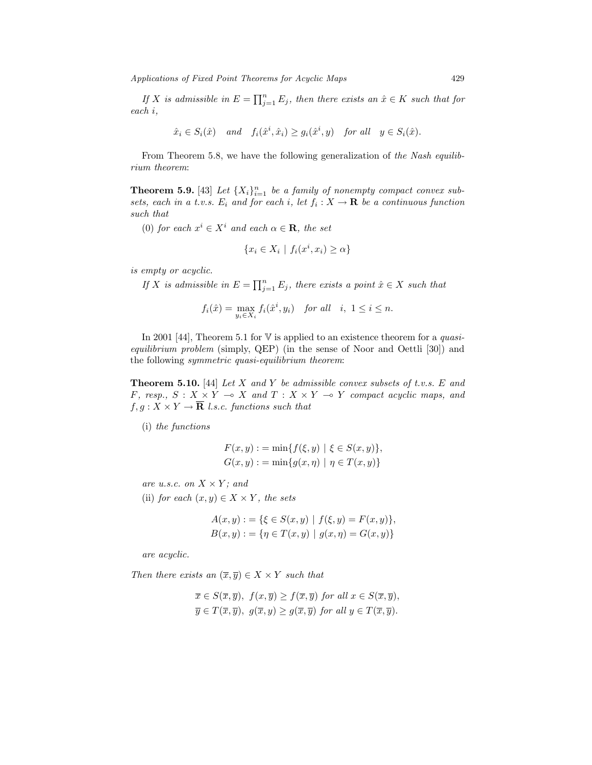Applications of Fixed Point Theorems for Acyclic Maps 429

If X is admissible in  $E = \prod_{j=1}^n E_j$ , then there exists an  $\hat{x} \in K$  such that for each i,

$$
\hat{x}_i \in S_i(\hat{x})
$$
 and  $f_i(\hat{x}^i, \hat{x}_i) \ge g_i(\hat{x}^i, y)$  for all  $y \in S_i(\hat{x})$ .

From Theorem 5.8, we have the following generalization of the Nash equilibrium theorem:

**Theorem 5.9.** [43] Let  $\{X_i\}_{i=1}^n$  be a family of nonempty compact convex subsets, each in a t.v.s.  $E_i$  and for each i, let  $f_i: X \to \mathbf{R}$  be a continuous function such that

(0) for each  $x^i \in X^i$  and each  $\alpha \in \mathbf{R}$ , the set

$$
\{x_i \in X_i \mid f_i(x^i, x_i) \ge \alpha\}
$$

is empty or acyclic.

If X is admissible in  $E = \prod_{j=1}^n E_j$ , there exists a point  $\hat{x} \in X$  such that

$$
f_i(\hat{x}) = \max_{y_i \in X_i} f_i(\hat{x}^i, y_i) \quad \text{for all} \quad i, \ 1 \le i \le n.
$$

In 2001 [44], Theorem 5.1 for  $V$  is applied to an existence theorem for a *quasi*equilibrium problem (simply, QEP) (in the sense of Noor and Oettli [30]) and the following symmetric quasi-equilibrium theorem:

**Theorem 5.10.** [44] Let X and Y be admissible convex subsets of t.v.s. E and F, resp.,  $S : X \times Y \multimap X$  and  $T : X \times Y \multimap Y$  compact acyclic maps, and  $f, g: X \times Y \to \overline{\mathbf{R}}$  *l.s.c. functions such that* 

(i) the functions

$$
F(x, y) := \min\{f(\xi, y) \mid \xi \in S(x, y)\},
$$
  

$$
G(x, y) := \min\{g(x, \eta) \mid \eta \in T(x, y)\}
$$

are u.s.c. on  $X \times Y$ ; and

(ii) for each  $(x, y) \in X \times Y$ , the sets

$$
A(x, y) := \{ \xi \in S(x, y) \mid f(\xi, y) = F(x, y) \},
$$
  

$$
B(x, y) := \{ \eta \in T(x, y) \mid g(x, \eta) = G(x, y) \}
$$

are acyclic.

Then there exists an  $(\overline{x}, \overline{y}) \in X \times Y$  such that

$$
\overline{x} \in S(\overline{x}, \overline{y}), f(x, \overline{y}) \ge f(\overline{x}, \overline{y}) \text{ for all } x \in S(\overline{x}, \overline{y}),
$$
  

$$
\overline{y} \in T(\overline{x}, \overline{y}), g(\overline{x}, y) \ge g(\overline{x}, \overline{y}) \text{ for all } y \in T(\overline{x}, \overline{y}).
$$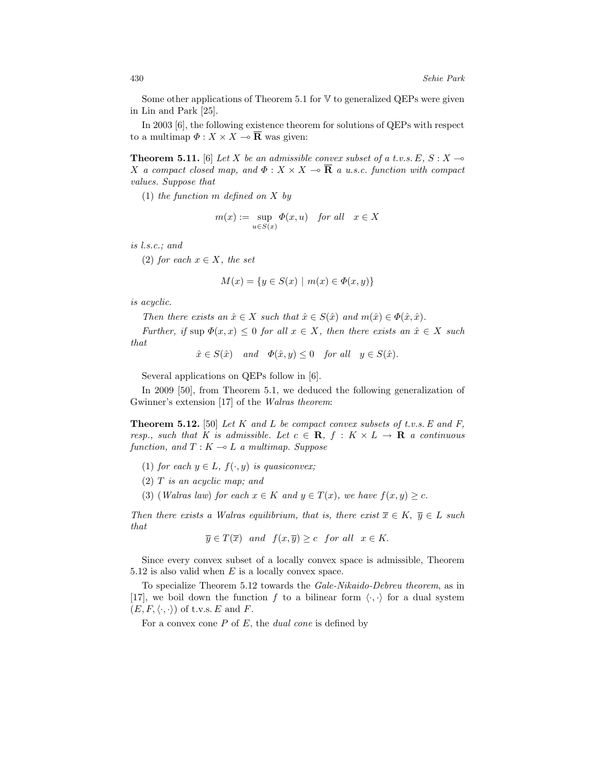Some other applications of Theorem 5.1 for  $\mathbb {V}$  to generalized QEPs were given in Lin and Park [25].

In 2003 [6], the following existence theorem for solutions of QEPs with respect to a multimap  $\Phi: X \times X \longrightarrow \overline{\mathbf{R}}$  was given:

**Theorem 5.11.** [6] Let X be an admissible convex subset of a t.v.s. E,  $S: X \rightarrow$ X a compact closed map, and  $\Phi: X \times X \to \overline{\mathbf{R}}$  a u.s.c. function with compact values. Suppose that

(1) the function  $m$  defined on  $X$  by

$$
m(x) := \sup_{u \in S(x)} \Phi(x, u) \quad \text{for all} \quad x \in X
$$

is l.s.c.; and

(2) for each  $x \in X$ , the set

$$
M(x) = \{ y \in S(x) \mid m(x) \in \Phi(x, y) \}
$$

is acyclic.

Then there exists an  $\hat{x} \in X$  such that  $\hat{x} \in S(\hat{x})$  and  $m(\hat{x}) \in \Phi(\hat{x}, \hat{x})$ .

Further, if sup  $\Phi(x, x) \leq 0$  for all  $x \in X$ , then there exists an  $\hat{x} \in X$  such that

 $\hat{x} \in S(\hat{x})$  and  $\Phi(\hat{x}, y) \leq 0$  for all  $y \in S(\hat{x})$ .

Several applications on QEPs follow in [6].

In 2009 [50], from Theorem 5.1, we deduced the following generalization of Gwinner's extension [17] of the Walras theorem:

**Theorem 5.12.** [50] Let K and L be compact convex subsets of t.v.s. E and F, resp., such that K is admissible. Let  $c \in \mathbf{R}$ ,  $f : K \times L \to \mathbf{R}$  a continuous function, and  $T : K \multimap L$  a multimap. Suppose

- (1) for each  $y \in L$ ,  $f(\cdot, y)$  is quasiconvex;
- (2) T is an acyclic map; and
- (3) (Walras law) for each  $x \in K$  and  $y \in T(x)$ , we have  $f(x, y) \geq c$ .

Then there exists a Walras equilibrium, that is, there exist  $\overline{x} \in K$ ,  $\overline{y} \in L$  such that

 $\overline{y} \in T(\overline{x})$  and  $f(x, \overline{y}) \geq c$  for all  $x \in K$ .

Since every convex subset of a locally convex space is admissible, Theorem  $5.12$  is also valid when  $E$  is a locally convex space.

To specialize Theorem 5.12 towards the Gale-Nikaido-Debreu theorem, as in [17], we boil down the function f to a bilinear form  $\langle \cdot, \cdot \rangle$  for a dual system  $(E, F, \langle \cdot, \cdot \rangle)$  of t.v.s. E and F.

For a convex cone  $P$  of  $E$ , the *dual cone* is defined by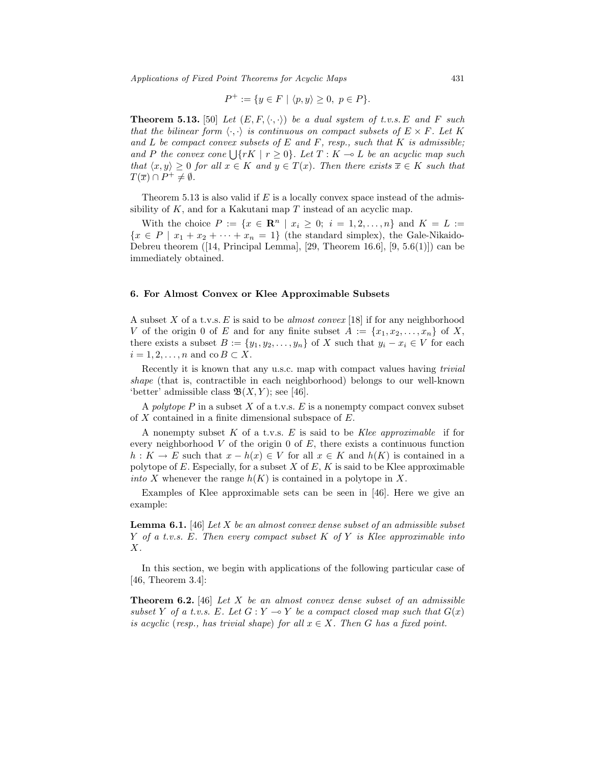Applications of Fixed Point Theorems for Acyclic Maps 431

$$
P^+ := \{ y \in F \mid \langle p, y \rangle \ge 0, \ p \in P \}.
$$

**Theorem 5.13.** [50] Let  $(E, F, \langle \cdot, \cdot \rangle)$  be a dual system of t.v.s. E and F such that the bilinear form  $\langle \cdot, \cdot \rangle$  is continuous on compact subsets of  $E \times F$ . Let K and L be compact convex subsets of E and F, resp., such that K is admissible; and L be compact convex subsets by L and F, resp., such that K is aanusside;<br>and P the convex cone  $\bigcup \{ rK \mid r \geq 0 \}$ . Let  $T : K \multimap L$  be an acyclic map such that  $\langle x, y \rangle \geq 0$  for all  $x \in K$  and  $y \in T(x)$ . Then there exists  $\overline{x} \in K$  such that  $T(\overline{x}) \cap P^+ \neq \emptyset.$ 

Theorem 5.13 is also valid if  $E$  is a locally convex space instead of the admissibility of  $K$ , and for a Kakutani map  $T$  instead of an acyclic map.

With the choice  $P := \{x \in \mathbb{R}^n \mid x_i \geq 0; i = 1, 2, ..., n\}$  and  $K = L :=$  ${x \in P \mid x_1 + x_2 + \cdots + x_n = 1}$  (the standard simplex), the Gale-Nikaido-Debreu theorem ([14, Principal Lemma], [29, Theorem 16.6], [9, 5.6(1)]) can be immediately obtained.

## 6. For Almost Convex or Klee Approximable Subsets

A subset X of a t.v.s. E is said to be *almost convex* [18] if for any neighborhood V of the origin 0 of E and for any finite subset  $A := \{x_1, x_2, \ldots, x_n\}$  of X, there exists a subset  $B := \{y_1, y_2, \ldots, y_n\}$  of X such that  $y_i - x_i \in V$  for each  $i = 1, 2, \ldots, n$  and co  $B \subset X$ .

Recently it is known that any u.s.c. map with compact values having trivial shape (that is, contractible in each neighborhood) belongs to our well-known 'better' admissible class  $\mathfrak{B}(X, Y)$ ; see [46].

A polytope  $P$  in a subset  $X$  of a t.v.s.  $E$  is a nonempty compact convex subset of X contained in a finite dimensional subspace of  $E$ .

A nonempty subset  $K$  of a t.v.s.  $E$  is said to be Klee approximable if for every neighborhood  $V$  of the origin  $0$  of  $E$ , there exists a continuous function  $h: K \to E$  such that  $x - h(x) \in V$  for all  $x \in K$  and  $h(K)$  is contained in a polytope of  $E$ . Especially, for a subset  $X$  of  $E$ ,  $K$  is said to be Klee approximable *into* X whenever the range  $h(K)$  is contained in a polytope in X.

Examples of Klee approximable sets can be seen in [46]. Here we give an example:

**Lemma 6.1.** [46] Let X be an almost convex dense subset of an admissible subset Y of a t.v.s. E. Then every compact subset  $K$  of  $Y$  is Klee approximable into  $X$ .

In this section, we begin with applications of the following particular case of [46, Theorem 3.4]:

**Theorem 6.2.** [46] Let  $X$  be an almost convex dense subset of an admissible subset Y of a t.v.s. E. Let  $G: Y \to Y$  be a compact closed map such that  $G(x)$ is acyclic (resp., has trivial shape) for all  $x \in X$ . Then G has a fixed point.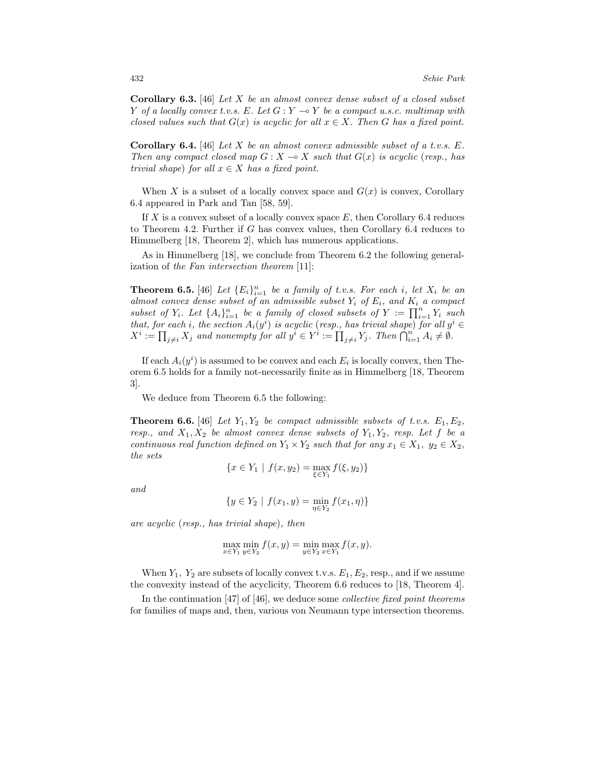**Corollary 6.3.** [46] Let X be an almost convex dense subset of a closed subset Y of a locally convex t.v.s. E. Let  $G: Y \to Y$  be a compact u.s.c. multimap with closed values such that  $G(x)$  is acyclic for all  $x \in X$ . Then G has a fixed point.

**Corollary 6.4.** [46] Let X be an almost convex admissible subset of a t.v.s. E. Then any compact closed map  $G: X \to X$  such that  $G(x)$  is acyclic (resp., has trivial shape) for all  $x \in X$  has a fixed point.

When X is a subset of a locally convex space and  $G(x)$  is convex, Corollary 6.4 appeared in Park and Tan [58, 59].

If  $X$  is a convex subset of a locally convex space  $E$ , then Corollary 6.4 reduces to Theorem 4.2. Further if G has convex values, then Corollary 6.4 reduces to Himmelberg [18, Theorem 2], which has numerous applications.

As in Himmelberg [18], we conclude from Theorem 6.2 the following generalization of the Fan intersection theorem [11]:

**Theorem 6.5.** [46] Let  ${E_i}_{i=1}^n$  be a family of t.v.s. For each i, let  $X_i$  be an almost convex dense subset of an admissible subset  $Y_i$  of  $E_i$ , and  $K_i$  a compact almost convex dense subset of an damissione subset  $Y_i$  of  $E_i$ , and  $K_i$  a compact subset of  $Y_i$ . Let  $\{A_i\}_{i=1}^n$  be a family of closed subsets of  $Y := \prod_{i=1}^n Y_i$  such that, for each i, the section  $A_i(y^i)$  is acyclic (resp., has trivial shape) for all  $y^i \in$ that, for each  $i$ , the section  $A_i(y)$  is acyclic (resp., has trivial shape) for all  $y$   $X^i := \prod_{j \neq i} X_j$  and nonempty for all  $y^i \in Y^i := \prod_{j \neq i} Y_j$ . Then  $\bigcap_{i=1}^n A_i \neq \emptyset$ .

If each  $A_i(y^i)$  is assumed to be convex and each  $E_i$  is locally convex, then Theorem 6.5 holds for a family not-necessarily finite as in Himmelberg [18, Theorem 3].

We deduce from Theorem 6.5 the following:

**Theorem 6.6.** [46] Let  $Y_1, Y_2$  be compact admissible subsets of t.v.s.  $E_1, E_2$ , resp., and  $X_1, X_2$  be almost convex dense subsets of  $Y_1, Y_2$ , resp. Let f be a continuous real function defined on  $Y_1 \times Y_2$  such that for any  $x_1 \in X_1$ ,  $y_2 \in X_2$ , the sets

$$
\{x \in Y_1 \mid f(x, y_2) = \max_{\xi \in Y_1} f(\xi, y_2)\}
$$

and

$$
\{y \in Y_2 \mid f(x_1, y) = \min_{\eta \in Y_2} f(x_1, \eta)\}
$$

are acyclic (resp., has trivial shape), then

$$
\max_{x \in Y_1} \min_{y \in Y_2} f(x, y) = \min_{y \in Y_2} \max_{x \in Y_1} f(x, y).
$$

When  $Y_1$ ,  $Y_2$  are subsets of locally convex t.v.s.  $E_1, E_2$ , resp., and if we assume the convexity instead of the acyclicity, Theorem 6.6 reduces to [18, Theorem 4].

In the continuation [47] of [46], we deduce some *collective fixed point theorems* for families of maps and, then, various von Neumann type intersection theorems.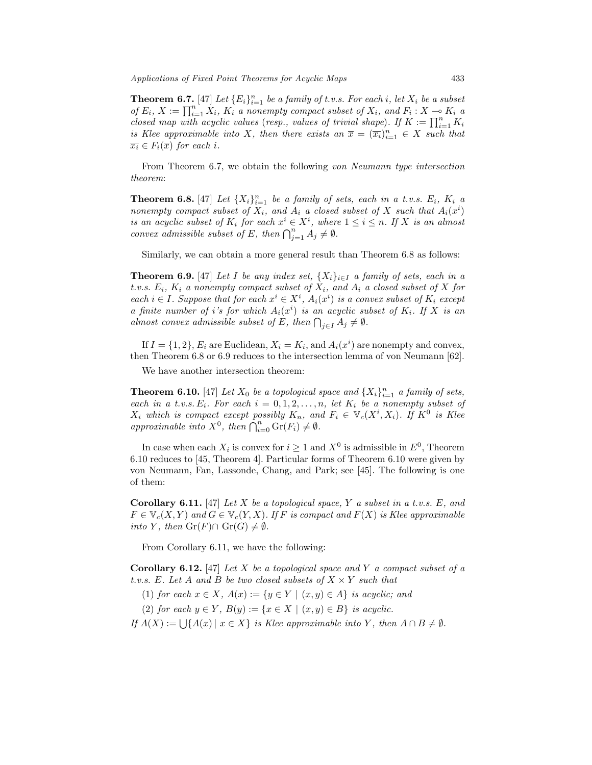**Theorem 6.7.** [47] Let  ${E_i}_{i=1}^n$  be a family of t.v.s. For each i, let  $X_i$  be a subset **Theorem 6.7.** [4*i*] Let  $\{E_i\}_{i=1}^{\infty}$  be a jamuy of t.v.s. For each *i*, let  $X_i$  be a subset<br>of  $E_i$ ,  $X := \prod_{i=1}^{\infty} X_i$ ,  $K_i$  a nonempty compact subset of  $X_i$ , and  $F_i : X \multimap K_i$  a by  $E_i$ ,  $X := \prod_{i=1}^n X_i$ ,  $K_i$  a nonempty compact subset of  $X_i$ , and  $F_i : X \to K_i$  and  $F_i$  and  $F_i$  and  $F_i$  and  $F_i$  and  $F_i$  and  $F_i$  and  $F_i$  and  $F_i$  and  $F_i$  and  $F_i$  and  $F_i$  and  $F_i$  and  $F_i$  and  $F_i$  and  $F_i$  and is Klee approximable into X, then there exists an  $\overline{x} = (\overline{x_i})_{i=1}^n \in X$  such that  $\overline{x_i} \in F_i(\overline{x})$  for each i.

From Theorem 6.7, we obtain the following von Neumann type intersection theorem:

**Theorem 6.8.** [47] Let  $\{X_i\}_{i=1}^n$  be a family of sets, each in a t.v.s.  $E_i$ ,  $K_i$  a nonempty compact subset of  $X_i$ , and  $A_i$  a closed subset of X such that  $A_i(x^i)$ is an acyclic subset of  $K_i$  for each  $x^i \in X^i$ , where  $1 \leq i \leq n$ . If X is an almost is an acycuc subset of  $K_i$  for each  $x \in X$ , when<br>convex admissible subset of E, then  $\bigcap_{j=1}^n A_j \neq \emptyset$ .

Similarly, we can obtain a more general result than Theorem 6.8 as follows:

**Theorem 6.9.** [47] Let I be any index set,  $\{X_i\}_{i\in I}$  a family of sets, each in a t.v.s.  $E_i$ ,  $K_i$  a nonempty compact subset of  $X_i$ , and  $A_i$  a closed subset of X for each  $i \in I$ . Suppose that for each  $x^i \in X^i$ ,  $A_i(x^i)$  is a convex subset of  $K_i$  except a finite number of i's for which  $A_i(x^i)$  is an acyclic subset of  $K_i$ . If X is an a junie number by t s jor which  $A_i(x)$  is an acyclic subset of when  $\bigcap_{j\in I} A_j \neq \emptyset$ .

If  $I = \{1, 2\}, E_i$  are Euclidean,  $X_i = K_i$ , and  $A_i(x^i)$  are nonempty and convex, then Theorem 6.8 or 6.9 reduces to the intersection lemma of von Neumann [62].

We have another intersection theorem:

**Theorem 6.10.** [47] Let  $X_0$  be a topological space and  $\{X_i\}_{i=1}^n$  a family of sets, each in a t.v.s.  $E_i$ . For each  $i = 0, 1, 2, \ldots, n$ , let  $K_i$  be a nonempty subset of  $X_i$  which is compact except possibly  $K_n$ , and  $F_i \in \mathbb{V}_c(X^i, X_i)$ . If  $K^0$  is Klee  $\Lambda_i$  which is compact except possibly  $\Lambda_n$ , and<br>approximable into  $X^0$ , then  $\bigcap_{i=0}^n Gr(F_i) \neq \emptyset$ .

In case when each  $X_i$  is convex for  $i \geq 1$  and  $X^0$  is admissible in  $E^0$ , Theorem 6.10 reduces to [45, Theorem 4]. Particular forms of Theorem 6.10 were given by von Neumann, Fan, Lassonde, Chang, and Park; see [45]. The following is one of them:

**Corollary 6.11.** [47] Let X be a topological space, Y a subset in a t.v.s. E, and  $F \in \mathbb{V}_c(X, Y)$  and  $G \in \mathbb{V}_c(Y, X)$ . If F is compact and  $F(X)$  is Klee approximable into Y, then  $\operatorname{Gr}(F) \cap \operatorname{Gr}(G) \neq \emptyset$ .

From Corollary 6.11, we have the following:

**Corollary 6.12.** [47] Let X be a topological space and Y a compact subset of a t.v.s. E. Let A and B be two closed subsets of  $X \times Y$  such that

(1) for each  $x \in X$ ,  $A(x) := \{y \in Y \mid (x, y) \in A\}$  is acyclic; and

(2) for each  $y \in Y$ ,  $B(y) := \{x \in X \mid (x, y) \in B\}$  is acyclic.

If  $A(X) := \bigcup \{A(x) \mid x \in X\}$  is Klee approximable into Y, then  $A \cap B \neq \emptyset$ .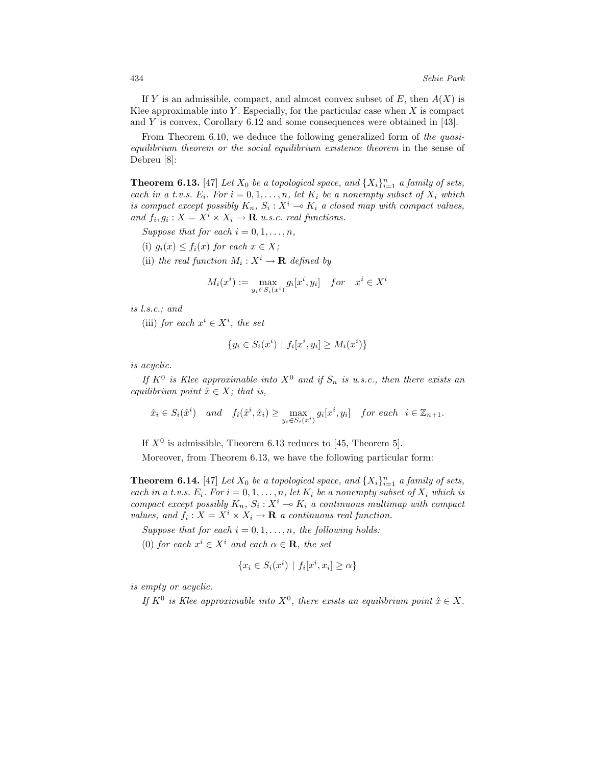If Y is an admissible, compact, and almost convex subset of E, then  $A(X)$  is Klee approximable into  $Y$ . Especially, for the particular case when  $X$  is compact and Y is convex, Corollary 6.12 and some consequences were obtained in [43].

From Theorem 6.10, we deduce the following generalized form of the quasiequilibrium theorem or the social equilibrium existence theorem in the sense of Debreu [8]:

**Theorem 6.13.** [47] Let  $X_0$  be a topological space, and  $\{X_i\}_{i=1}^n$  a family of sets, each in a t.v.s.  $E_i$ . For  $i = 0, 1, ..., n$ , let  $K_i$  be a nonempty subset of  $X_i$  which is compact except possibly  $K_n$ ,  $S_i: X^i \to K_i$  a closed map with compact values, and  $f_i, g_i: X = X^i \times X_i \rightarrow \mathbf{R}$  u.s.c. real functions.

Suppose that for each  $i = 0, 1, \ldots, n$ ,

- (i)  $q_i(x) \leq f_i(x)$  for each  $x \in X$ ;
- (ii) the real function  $M_i: X^i \to \mathbf{R}$  defined by

$$
M_i(x^i) := \max_{y_i \in S_i(x^i)} g_i[x^i, y_i] \quad for \quad x^i \in X^i
$$

is l.s.c.; and

(iii) for each  $x^i \in X^i$ , the set

$$
\{y_i \in S_i(x^i) \mid f_i[x^i, y_i] \ge M_i(x^i)\}
$$

is acyclic.

If  $K^0$  is Klee approximable into  $X^0$  and if  $S_n$  is u.s.c., then there exists an equilibrium point  $\hat{x} \in X$ ; that is,

$$
\hat{x}_i \in S_i(\hat{x}^i) \quad and \quad f_i(\hat{x}^i, \hat{x}_i) \ge \max_{y_i \in S_i(x^i)} g_i[x^i, y_i] \quad for each \quad i \in \mathbb{Z}_{n+1}.
$$

If  $X^0$  is admissible, Theorem 6.13 reduces to [45, Theorem 5].

Moreover, from Theorem 6.13, we have the following particular form:

**Theorem 6.14.** [47] Let  $X_0$  be a topological space, and  $\{X_i\}_{i=1}^n$  a family of sets, each in a t.v.s.  $E_i$ . For  $i = 0, 1, \ldots, n$ , let  $K_i$  be a nonempty subset of  $X_i$  which is compact except possibly  $K_n$ ,  $S_i: X^i \to K_i$  a continuous multimap with compact values, and  $f_i: X = X^i \times X_i \to \mathbf{R}$  a continuous real function.

Suppose that for each  $i = 0, 1, \ldots, n$ , the following holds:

(0) for each  $x^i \in X^i$  and each  $\alpha \in \mathbf{R}$ , the set

$$
\{x_i \in S_i(x^i) \mid f_i[x^i, x_i] \ge \alpha\}
$$

is empty or acyclic.

If  $K^0$  is Klee approximable into  $X^0$ , there exists an equilibrium point  $\hat{x} \in X$ .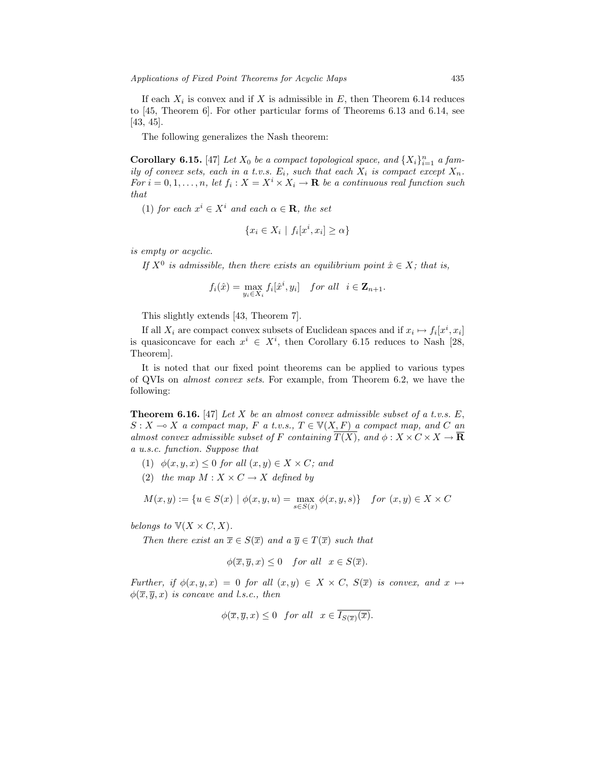If each  $X_i$  is convex and if X is admissible in E, then Theorem 6.14 reduces to [45, Theorem 6]. For other particular forms of Theorems 6.13 and 6.14, see [43, 45].

The following generalizes the Nash theorem:

**Corollary 6.15.** [47] Let  $X_0$  be a compact topological space, and  $\{X_i\}_{i=1}^n$  a family of convex sets, each in a t.v.s.  $E_i$ , such that each  $X_i$  is compact except  $X_n$ . For  $i = 0, 1, ..., n$ , let  $f_i : X = X^i \times X_i \to \mathbf{R}$  be a continuous real function such that

(1) for each  $x^i \in X^i$  and each  $\alpha \in \mathbf{R}$ , the set

$$
\{x_i \in X_i \mid f_i[x^i, x_i] \ge \alpha\}
$$

is empty or acyclic.

If  $X^0$  is admissible, then there exists an equilibrium point  $\hat{x} \in X$ ; that is,

$$
f_i(\hat{x}) = \max_{y_i \in X_i} f_i[\hat{x}^i, y_i] \quad \text{for all} \quad i \in \mathbf{Z}_{n+1}.
$$

This slightly extends [43, Theorem 7].

If all  $X_i$  are compact convex subsets of Euclidean spaces and if  $x_i \mapsto f_i[x^i, x_i]$ is quasiconcave for each  $x^i \in X^i$ , then Corollary 6.15 reduces to Nash [28, Theorem].

It is noted that our fixed point theorems can be applied to various types of QVIs on almost convex sets. For example, from Theorem 6.2, we have the following:

**Theorem 6.16.** [47] Let X be an almost convex admissible subset of a t.v.s.  $E$ ,  $S: X \to X$  a compact map, F a t.v.s.,  $T \in V(X, F)$  a compact map, and C an almost convex admissible subset of F containing  $\overline{T(X)}$ , and  $\phi: X \times C \times X \rightarrow \overline{\mathbf{R}}$ a u.s.c. function. Suppose that

- (1)  $\phi(x, y, x) \leq 0$  for all  $(x, y) \in X \times C$ ; and
- (2) the map  $M : X \times C \rightarrow X$  defined by

$$
M(x,y):=\{u\in S(x)\,\,|\,\,\phi(x,y,u)=\max_{s\in S(x)}\phi(x,y,s)\}\quad for\,\,(x,y)\in X\times C
$$

belongs to  $\mathbb{V}(X \times C, X)$ .

Then there exist an  $\overline{x} \in S(\overline{x})$  and  $a \overline{y} \in T(\overline{x})$  such that

$$
\phi(\overline{x}, \overline{y}, x) \leq 0
$$
 for all  $x \in S(\overline{x})$ .

Further, if  $\phi(x, y, x) = 0$  for all  $(x, y) \in X \times C$ ,  $S(\overline{x})$  is convex, and  $x \mapsto$  $\phi(\overline{x}, \overline{y}, x)$  is concave and l.s.c., then

$$
\phi(\overline{x}, \overline{y}, x) \le 0 \quad \text{for all} \quad x \in I_{S(\overline{x})}(\overline{x}).
$$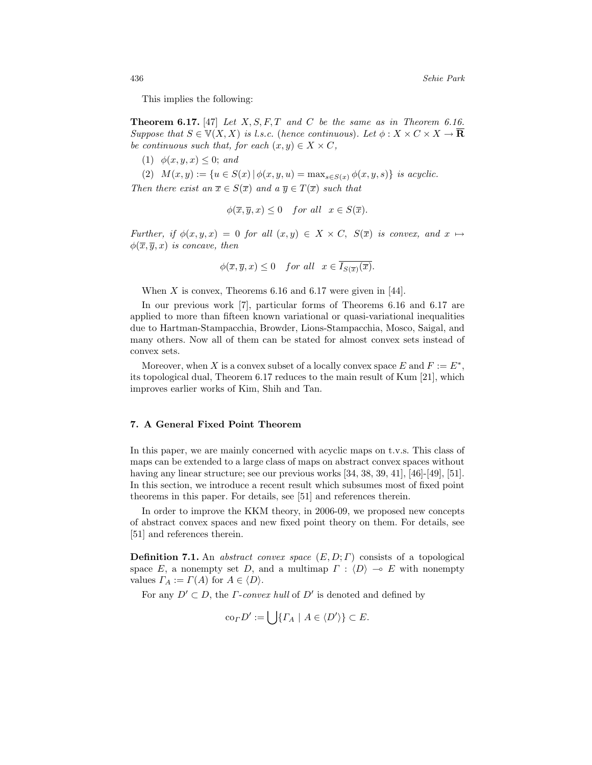This implies the following:

**Theorem 6.17.** [47] Let  $X, S, F, T$  and  $C$  be the same as in Theorem 6.16. Suppose that  $S \in \mathbb{V}(X,X)$  is l.s.c. (hence continuous). Let  $\phi: X \times C \times X \to \overline{\mathbf{R}}$ be continuous such that, for each  $(x, y) \in X \times C$ ,

(1)  $\phi(x, y, x) \leq 0$ ; and

(2)  $M(x, y) := \{u \in S(x) | \phi(x, y, u) = \max_{s \in S(x)} \phi(x, y, s)\}\$ is acyclic. Then there exist an  $\overline{x} \in S(\overline{x})$  and  $a \overline{y} \in T(\overline{x})$  such that

$$
\phi(\overline{x}, \overline{y}, x) \le 0 \quad \text{for all} \ \ x \in S(\overline{x}).
$$

Further, if  $\phi(x, y, x) = 0$  for all  $(x, y) \in X \times C$ ,  $S(\overline{x})$  is convex, and  $x \mapsto$  $\phi(\overline{x}, \overline{y}, x)$  is concave, then

$$
\phi(\overline{x}, \overline{y}, x) \le 0 \quad \text{for all} \quad x \in \overline{I_{S(\overline{x})}(\overline{x})}.
$$

When X is convex, Theorems 6.16 and 6.17 were given in [44].

In our previous work [7], particular forms of Theorems 6.16 and 6.17 are applied to more than fifteen known variational or quasi-variational inequalities due to Hartman-Stampacchia, Browder, Lions-Stampacchia, Mosco, Saigal, and many others. Now all of them can be stated for almost convex sets instead of convex sets.

Moreover, when X is a convex subset of a locally convex space E and  $F := E^*$ , its topological dual, Theorem 6.17 reduces to the main result of Kum [21], which improves earlier works of Kim, Shih and Tan.

#### 7. A General Fixed Point Theorem

In this paper, we are mainly concerned with acyclic maps on t.v.s. This class of maps can be extended to a large class of maps on abstract convex spaces without having any linear structure; see our previous works [34, 38, 39, 41], [46]-[49], [51]. In this section, we introduce a recent result which subsumes most of fixed point theorems in this paper. For details, see [51] and references therein.

In order to improve the KKM theory, in 2006-09, we proposed new concepts of abstract convex spaces and new fixed point theory on them. For details, see [51] and references therein.

**Definition 7.1.** An abstract convex space  $(E, D; \Gamma)$  consists of a topological space E, a nonempty set D, and a multimap  $\Gamma : \langle D \rangle \to E$  with nonempty values  $\Gamma_A := \Gamma(A)$  for  $A \in \langle D \rangle$ .

For any  $D' \subset D$ , the *Γ*-convex hull of D' is denoted and defined by

$$
co_{\Gamma} D' := \bigcup \{ \Gamma_A \mid A \in \langle D' \rangle \} \subset E.
$$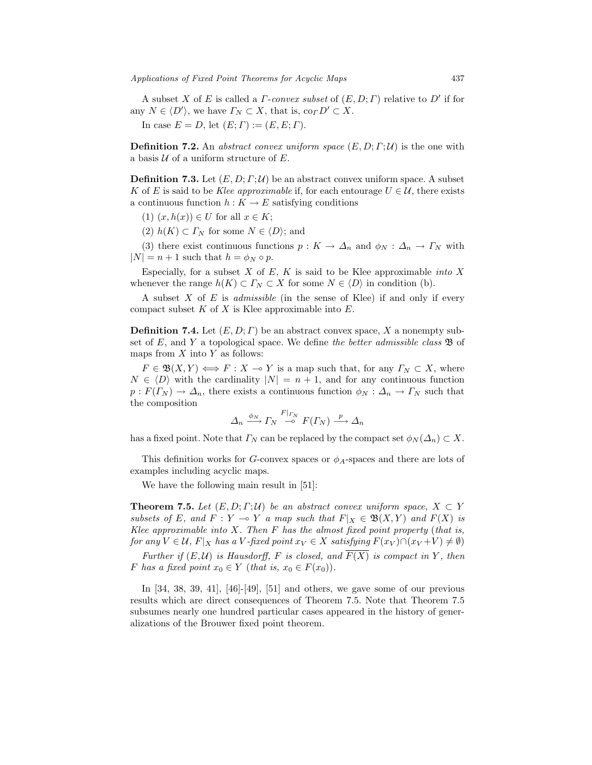A subset X of E is called a  $\Gamma$ -convex subset of  $(E, D; \Gamma)$  relative to  $D'$  if for any  $N \in \langle D' \rangle$ , we have  $\Gamma_N \subset X$ , that is,  $\text{co}_{\Gamma} D' \subset X$ .

In case  $E = D$ , let  $(E; \Gamma) := (E, E; \Gamma)$ .

**Definition 7.2.** An abstract convex uniform space  $(E, D; \Gamma; \mathcal{U})$  is the one with a basis  $U$  of a uniform structure of  $E$ .

**Definition 7.3.** Let  $(E, D; \Gamma; \mathcal{U})$  be an abstract convex uniform space. A subset K of E is said to be Klee approximable if, for each entourage  $U \in \mathcal{U}$ , there exists a continuous function  $h: K \to E$  satisfying conditions

- (1)  $(x, h(x)) \in U$  for all  $x \in K$ ;
- (2)  $h(K) \subset \Gamma_N$  for some  $N \in \langle D \rangle$ ; and

(3) there exist continuous functions  $p: K \to \Delta_n$  and  $\phi_N: \Delta_n \to \Gamma_N$  with  $|N| = n + 1$  such that  $h = \phi_N \circ p$ .

Especially, for a subset  $X$  of  $E, K$  is said to be Klee approximable *into*  $X$ whenever the range  $h(K) \subset \Gamma_N \subset X$  for some  $N \in \langle D \rangle$  in condition (b).

A subset  $X$  of  $E$  is *admissible* (in the sense of Klee) if and only if every compact subset  $K$  of  $X$  is Klee approximable into  $E$ .

**Definition 7.4.** Let  $(E, D; \Gamma)$  be an abstract convex space, X a nonempty subset of  $E$ , and  $Y$  a topological space. We define the better admissible class  $\mathfrak{B}$  of maps from  $X$  into  $Y$  as follows:

 $F \in \mathfrak{B}(X, Y) \Longleftrightarrow F : X \multimap Y$  is a map such that, for any  $\Gamma_N \subset X$ , where  $N \in \langle D \rangle$  with the cardinality  $|N| = n + 1$ , and for any continuous function  $p: F(\Gamma_N) \to \Delta_n$ , there exists a continuous function  $\phi_N: \Delta_n \to \Gamma_N$  such that the composition

$$
\Delta_n \xrightarrow{\phi_N} \Gamma_N \xrightarrow{F|_{\Gamma_N}} F(\Gamma_N) \xrightarrow{p} \Delta_n
$$

has a fixed point. Note that  $\Gamma_N$  can be replaced by the compact set  $\phi_N(\Delta_n) \subset X$ .

This definition works for G-convex spaces or  $\phi_A$ -spaces and there are lots of examples including acyclic maps.

We have the following main result in [51]:

**Theorem 7.5.** Let  $(E, D; \Gamma; \mathcal{U})$  be an abstract convex uniform space,  $X \subset Y$ subsets of E, and F : Y  $\multimap$  Y a map such that  $F|_X \in \mathfrak{B}(X, Y)$  and  $F(X)$  is Klee approximable into  $X$ . Then  $F$  has the almost fixed point property (that is, for any  $V \in \mathcal{U}, F|_X$  has a V-fixed point  $x_V \in X$  satisfying  $F(x_V) \cap (x_V + V) \neq \emptyset$ 

Further if  $(E,\mathcal{U})$  is Hausdorff, F is closed, and  $\overline{F(X)}$  is compact in Y, then F has a fixed point  $x_0 \in Y$  (that is,  $x_0 \in F(x_0)$ ).

In [34, 38, 39, 41], [46]-[49], [51] and others, we gave some of our previous results which are direct consequences of Theorem 7.5. Note that Theorem 7.5 subsumes nearly one hundred particular cases appeared in the history of generalizations of the Brouwer fixed point theorem.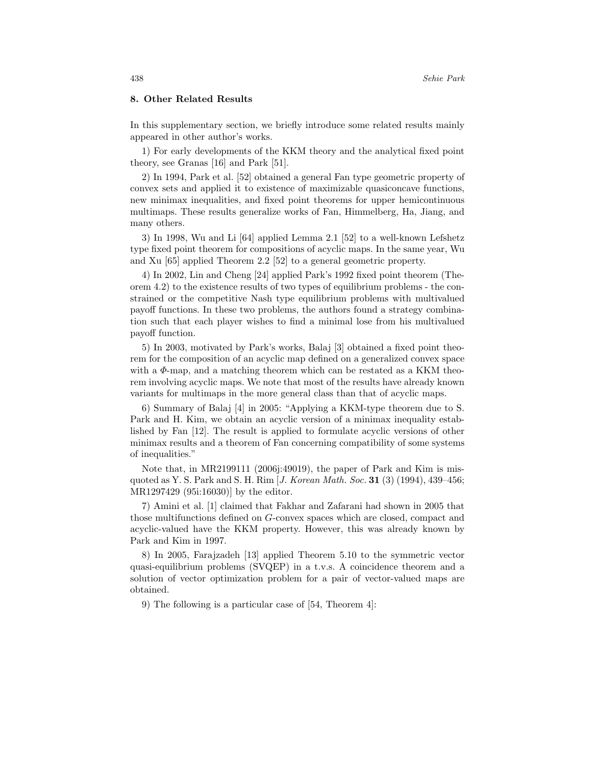#### 8. Other Related Results

In this supplementary section, we briefly introduce some related results mainly appeared in other author's works.

1) For early developments of the KKM theory and the analytical fixed point theory, see Granas [16] and Park [51].

2) In 1994, Park et al. [52] obtained a general Fan type geometric property of convex sets and applied it to existence of maximizable quasiconcave functions, new minimax inequalities, and fixed point theorems for upper hemicontinuous multimaps. These results generalize works of Fan, Himmelberg, Ha, Jiang, and many others.

3) In 1998, Wu and Li [64] applied Lemma 2.1 [52] to a well-known Lefshetz type fixed point theorem for compositions of acyclic maps. In the same year, Wu and Xu [65] applied Theorem 2.2 [52] to a general geometric property.

4) In 2002, Lin and Cheng [24] applied Park's 1992 fixed point theorem (Theorem 4.2) to the existence results of two types of equilibrium problems - the constrained or the competitive Nash type equilibrium problems with multivalued payoff functions. In these two problems, the authors found a strategy combination such that each player wishes to find a minimal lose from his multivalued payoff function.

5) In 2003, motivated by Park's works, Balaj [3] obtained a fixed point theorem for the composition of an acyclic map defined on a generalized convex space with a  $\Phi$ -map, and a matching theorem which can be restated as a KKM theorem involving acyclic maps. We note that most of the results have already known variants for multimaps in the more general class than that of acyclic maps.

6) Summary of Balaj [4] in 2005: "Applying a KKM-type theorem due to S. Park and H. Kim, we obtain an acyclic version of a minimax inequality established by Fan [12]. The result is applied to formulate acyclic versions of other minimax results and a theorem of Fan concerning compatibility of some systems of inequalities."

Note that, in MR2199111 (2006j:49019), the paper of Park and Kim is misquoted as Y. S. Park and S. H. Rim  $J.$  Korean Math. Soc. 31 (3) (1994), 439–456; MR1297429 (95i:16030)] by the editor.

7) Amini et al. [1] claimed that Fakhar and Zafarani had shown in 2005 that those multifunctions defined on G-convex spaces which are closed, compact and acyclic-valued have the KKM property. However, this was already known by Park and Kim in 1997.

8) In 2005, Farajzadeh [13] applied Theorem 5.10 to the symmetric vector quasi-equilibrium problems (SVQEP) in a t.v.s. A coincidence theorem and a solution of vector optimization problem for a pair of vector-valued maps are obtained.

9) The following is a particular case of [54, Theorem 4]: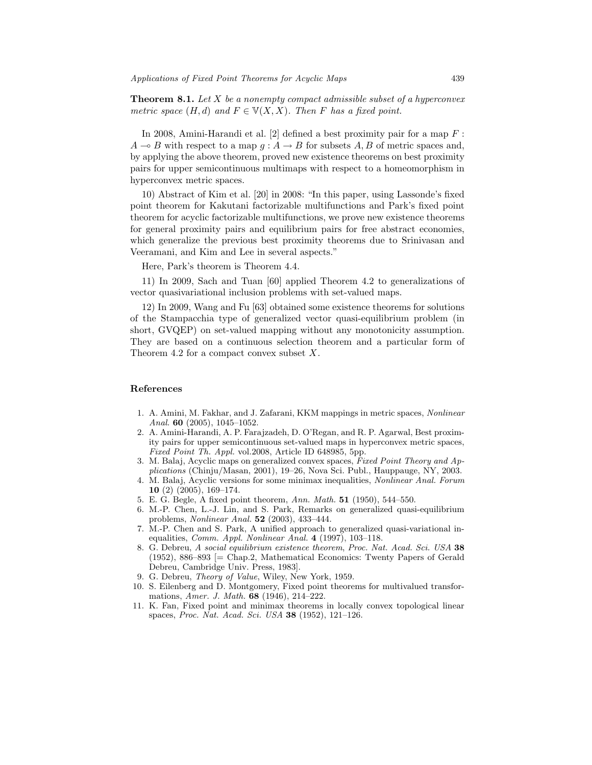**Theorem 8.1.** Let X be a nonempty compact admissible subset of a hyperconvex metric space  $(H, d)$  and  $F \in V(X, X)$ . Then F has a fixed point.

In 2008, Amini-Harandi et al.  $[2]$  defined a best proximity pair for a map  $F$ :  $A \rightarrow B$  with respect to a map  $q : A \rightarrow B$  for subsets A, B of metric spaces and, by applying the above theorem, proved new existence theorems on best proximity pairs for upper semicontinuous multimaps with respect to a homeomorphism in hyperconvex metric spaces.

10) Abstract of Kim et al. [20] in 2008: "In this paper, using Lassonde's fixed point theorem for Kakutani factorizable multifunctions and Park's fixed point theorem for acyclic factorizable multifunctions, we prove new existence theorems for general proximity pairs and equilibrium pairs for free abstract economies, which generalize the previous best proximity theorems due to Srinivasan and Veeramani, and Kim and Lee in several aspects."

Here, Park's theorem is Theorem 4.4.

11) In 2009, Sach and Tuan [60] applied Theorem 4.2 to generalizations of vector quasivariational inclusion problems with set-valued maps.

12) In 2009, Wang and Fu [63] obtained some existence theorems for solutions of the Stampacchia type of generalized vector quasi-equilibrium problem (in short, GVQEP) on set-valued mapping without any monotonicity assumption. They are based on a continuous selection theorem and a particular form of Theorem 4.2 for a compact convex subset  $X$ .

## References

- 1. A. Amini, M. Fakhar, and J. Zafarani, KKM mappings in metric spaces, Nonlinear Anal. 60  $(2005)$ , 1045–1052.
- 2. A. Amini-Harandi, A. P. Farajzadeh, D. O'Regan, and R. P. Agarwal, Best proximity pairs for upper semicontinuous set-valued maps in hyperconvex metric spaces, Fixed Point Th. Appl. vol.2008, Article ID 648985, 5pp.
- 3. M. Balaj, Acyclic maps on generalized convex spaces, Fixed Point Theory and Applications (Chinju/Masan, 2001), 19–26, Nova Sci. Publ., Hauppauge, NY, 2003.
- 4. M. Balaj, Acyclic versions for some minimax inequalities, Nonlinear Anal. Forum 10 (2) (2005), 169–174.
- 5. E. G. Begle, A fixed point theorem, Ann. Math. 51 (1950), 544–550.
- 6. M.-P. Chen, L.-J. Lin, and S. Park, Remarks on generalized quasi-equilibrium problems, Nonlinear Anal. 52 (2003), 433–444.
- 7. M.-P. Chen and S. Park, A unified approach to generalized quasi-variational inequalities, Comm. Appl. Nonlinear Anal. 4 (1997), 103–118.
- 8. G. Debreu, A social equilibrium existence theorem, Proc. Nat. Acad. Sci. USA 38 (1952), 886–893 [= Chap.2, Mathematical Economics: Twenty Papers of Gerald Debreu, Cambridge Univ. Press, 1983].
- 9. G. Debreu, Theory of Value, Wiley, New York, 1959.
- 10. S. Eilenberg and D. Montgomery, Fixed point theorems for multivalued transformations, *Amer. J. Math.* **68** (1946), 214–222.
- 11. K. Fan, Fixed point and minimax theorems in locally convex topological linear spaces, Proc. Nat. Acad. Sci. USA 38 (1952), 121–126.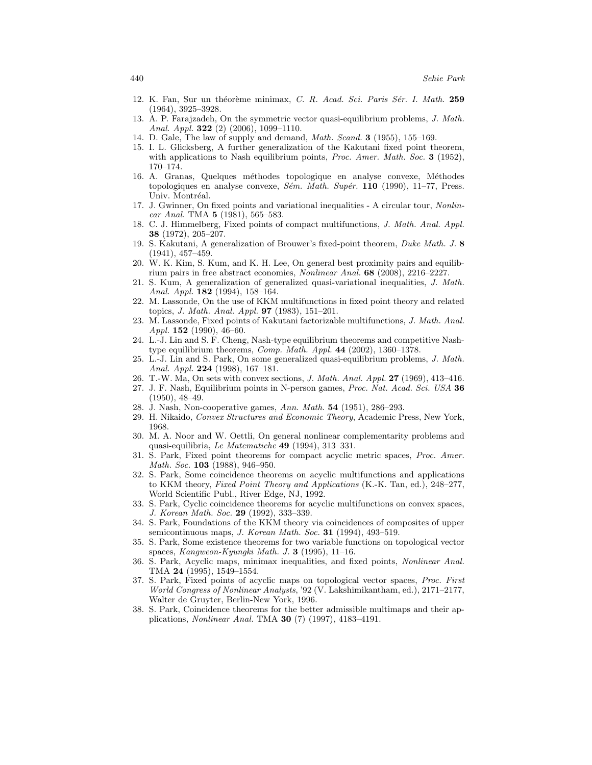- 12. K. Fan, Sur un théorème minimax, C. R. Acad. Sci. Paris Sér. I. Math. 259 (1964), 3925–3928.
- 13. A. P. Farajzadeh, On the symmetric vector quasi-equilibrium problems, J. Math. Anal. Appl. 322  $(2)$   $(2006)$ , 1099-1110.
- 14. D. Gale, The law of supply and demand, Math. Scand. 3 (1955), 155–169.
- 15. I. L. Glicksberg, A further generalization of the Kakutani fixed point theorem, with applications to Nash equilibrium points, Proc. Amer. Math. Soc.  $3$  (1952), 170–174.
- 16. A. Granas, Quelques méthodes topologique en analyse convexe, Méthodes topologiques en analyse convexe, Sém. Math. Supér. 110 (1990), 11–77, Press. Univ. Montréal.
- 17. J. Gwinner, On fixed points and variational inequalities A circular tour, Nonlinear Anal. TMA  $5$  (1981), 565–583.
- 18. C. J. Himmelberg, Fixed points of compact multifunctions, J. Math. Anal. Appl. 38 (1972), 205–207.
- 19. S. Kakutani, A generalization of Brouwer's fixed-point theorem, Duke Math. J. 8 (1941), 457–459.
- 20. W. K. Kim, S. Kum, and K. H. Lee, On general best proximity pairs and equilibrium pairs in free abstract economies, Nonlinear Anal. 68 (2008), 2216–2227.
- 21. S. Kum, A generalization of generalized quasi-variational inequalities, J. Math. Anal. Appl. **182** (1994), 158–164.
- 22. M. Lassonde, On the use of KKM multifunctions in fixed point theory and related topics, *J. Math. Anal. Appl.* **97** (1983), 151–201.
- 23. M. Lassonde, Fixed points of Kakutani factorizable multifunctions, J. Math. Anal.  $Appl.$  152 (1990), 46–60.
- 24. L.-J. Lin and S. F. Cheng, Nash-type equilibrium theorems and competitive Nashtype equilibrium theorems, Comp. Math. Appl. 44 (2002), 1360-1378.
- 25. L.-J. Lin and S. Park, On some generalized quasi-equilibrium problems, J. Math. Anal. Appl. 224 (1998), 167–181.
- 26. T.-W. Ma, On sets with convex sections, J. Math. Anal. Appl. 27 (1969), 413–416.
- 27. J. F. Nash, Equilibrium points in N-person games, Proc. Nat. Acad. Sci. USA 36 (1950), 48–49.
- 28. J. Nash, Non-cooperative games, Ann. Math. 54 (1951), 286–293.
- 29. H. Nikaido, Convex Structures and Economic Theory, Academic Press, New York, 1968.
- 30. M. A. Noor and W. Oettli, On general nonlinear complementarity problems and quasi-equilibria, Le Matematiche 49 (1994), 313–331.
- 31. S. Park, Fixed point theorems for compact acyclic metric spaces, Proc. Amer. Math. Soc. **103** (1988), 946–950.
- 32. S. Park, Some coincidence theorems on acyclic multifunctions and applications to KKM theory, Fixed Point Theory and Applications (K.-K. Tan, ed.), 248–277, World Scientific Publ., River Edge, NJ, 1992.
- 33. S. Park, Cyclic coincidence theorems for acyclic multifunctions on convex spaces, J. Korean Math. Soc. 29 (1992), 333–339.
- 34. S. Park, Foundations of the KKM theory via coincidences of composites of upper semicontinuous maps, J. Korean Math. Soc. 31 (1994), 493-519.
- 35. S. Park, Some existence theorems for two variable functions on topological vector spaces, Kangweon-Kyungki Math. J. 3 (1995), 11-16.
- 36. S. Park, Acyclic maps, minimax inequalities, and fixed points, Nonlinear Anal. TMA 24 (1995), 1549–1554.
- 37. S. Park, Fixed points of acyclic maps on topological vector spaces, Proc. First World Congress of Nonlinear Analysts, '92 (V. Lakshimikantham, ed.), 2171–2177, Walter de Gruyter, Berlin-New York, 1996.
- 38. S. Park, Coincidence theorems for the better admissible multimaps and their applications, Nonlinear Anal. TMA 30 (7) (1997), 4183–4191.